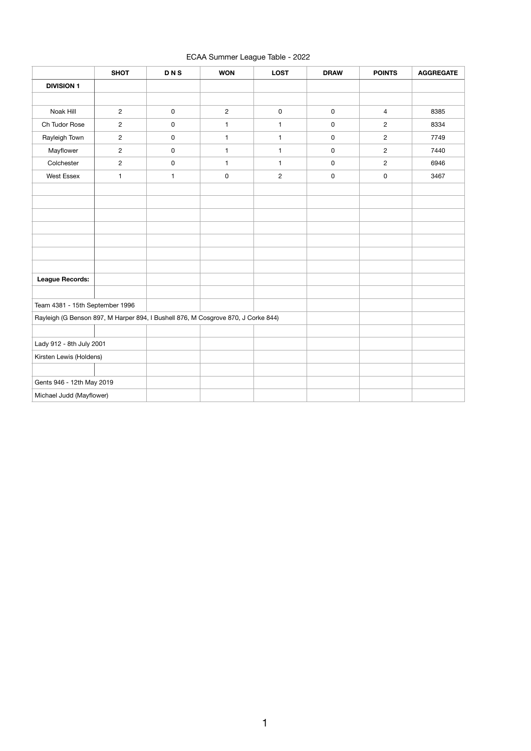## ECAA Summer League Table - 2022

|                                                                                   | <b>SHOT</b>    | <b>DNS</b>          | <b>WON</b>   | <b>LOST</b>    | <b>DRAW</b> | <b>POINTS</b>  | <b>AGGREGATE</b> |
|-----------------------------------------------------------------------------------|----------------|---------------------|--------------|----------------|-------------|----------------|------------------|
| <b>DIVISION 1</b>                                                                 |                |                     |              |                |             |                |                  |
|                                                                                   |                |                     |              |                |             |                |                  |
| Noak Hill                                                                         | $\overline{c}$ | $\mathsf 0$         | $\mathbf{2}$ | $\mathsf 0$    | $\pmb{0}$   | $\overline{4}$ | 8385             |
| Ch Tudor Rose                                                                     | $\overline{c}$ | $\mathsf 0$         | 1            | 1              | 0           | $\overline{c}$ | 8334             |
| Rayleigh Town                                                                     | $\overline{c}$ | $\mathsf 0$         | $\mathbf{1}$ | $\mathbf{1}$   | 0           | $\mathbf{2}$   | 7749             |
| Mayflower                                                                         | $\overline{c}$ | $\mathsf{O}\xspace$ | $\mathbf{1}$ | $\mathbf{1}$   | 0           | $\mathbf{2}$   | 7440             |
| Colchester                                                                        | $\overline{c}$ | $\pmb{0}$           | 1            | 1              | 0           | $\mathbf{2}$   | 6946             |
| <b>West Essex</b>                                                                 | 1              | $\mathbf{1}$        | $\pmb{0}$    | $\overline{c}$ | 0           | $\pmb{0}$      | 3467             |
|                                                                                   |                |                     |              |                |             |                |                  |
|                                                                                   |                |                     |              |                |             |                |                  |
|                                                                                   |                |                     |              |                |             |                |                  |
|                                                                                   |                |                     |              |                |             |                |                  |
|                                                                                   |                |                     |              |                |             |                |                  |
|                                                                                   |                |                     |              |                |             |                |                  |
|                                                                                   |                |                     |              |                |             |                |                  |
| <b>League Records:</b>                                                            |                |                     |              |                |             |                |                  |
|                                                                                   |                |                     |              |                |             |                |                  |
| Team 4381 - 15th September 1996                                                   |                |                     |              |                |             |                |                  |
| Rayleigh (G Benson 897, M Harper 894, I Bushell 876, M Cosgrove 870, J Corke 844) |                |                     |              |                |             |                |                  |
|                                                                                   |                |                     |              |                |             |                |                  |
| Lady 912 - 8th July 2001                                                          |                |                     |              |                |             |                |                  |
| Kirsten Lewis (Holdens)                                                           |                |                     |              |                |             |                |                  |
|                                                                                   |                |                     |              |                |             |                |                  |
| Gents 946 - 12th May 2019                                                         |                |                     |              |                |             |                |                  |
| Michael Judd (Mayflower)                                                          |                |                     |              |                |             |                |                  |

1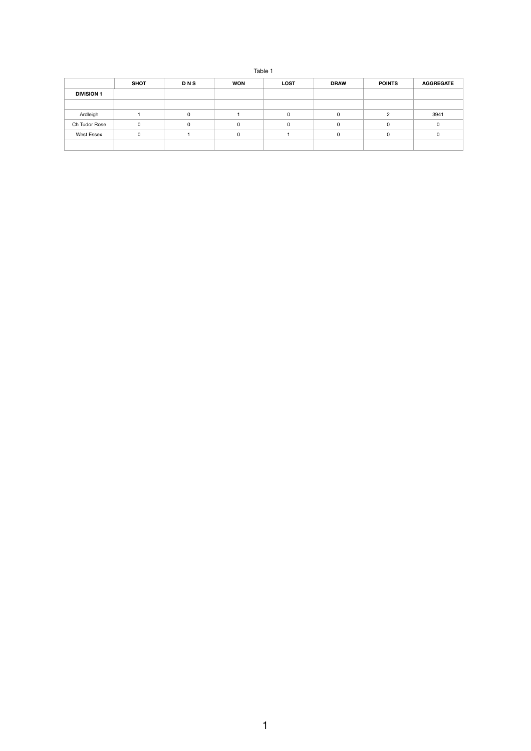| an<br>Ш |  |
|---------|--|
|---------|--|

|                   | <b>SHOT</b> | <b>DNS</b> | <b>WON</b> | <b>LOST</b> | <b>DRAW</b> | <b>POINTS</b> | <b>AGGREGATE</b> |
|-------------------|-------------|------------|------------|-------------|-------------|---------------|------------------|
| <b>DIVISION 1</b> |             |            |            |             |             |               |                  |
|                   |             |            |            |             |             |               |                  |
| Ardleigh          |             | 0          |            |             | 0           | C.            | 3941             |
| Ch Tudor Rose     | 0           | 0          | 0          |             | 0           | 0             |                  |
| <b>West Essex</b> | 0           |            | 0          |             | $\Omega$    |               |                  |
|                   |             |            |            |             |             |               |                  |

1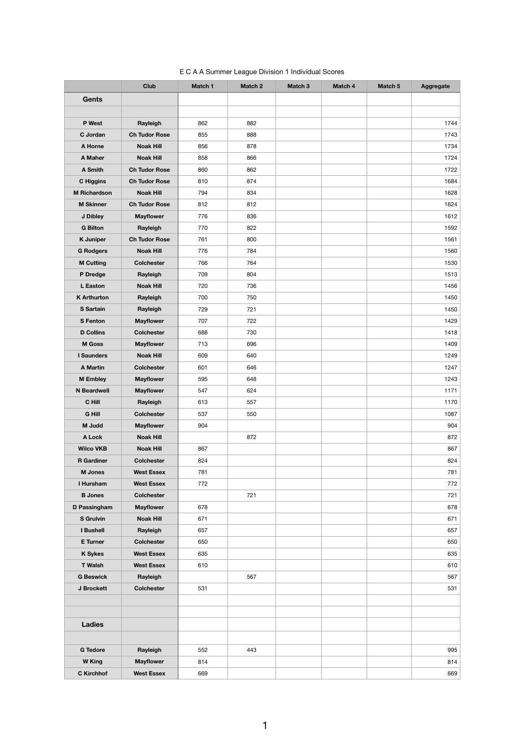## E C A A Summer League Division 1 Individual Scores

|                     | <b>Club</b>          | Match 1 | Match 2 | Match <sub>3</sub> | Match 4 | Match 5 | Aggregate |
|---------------------|----------------------|---------|---------|--------------------|---------|---------|-----------|
| <b>Gents</b>        |                      |         |         |                    |         |         |           |
|                     |                      |         |         |                    |         |         |           |
| P West              | Rayleigh             | 862     | 882     |                    |         |         | 1744      |
| C Jordan            | <b>Ch Tudor Rose</b> | 855     | 888     |                    |         |         | 1743      |
| <b>A Horne</b>      | <b>Noak Hill</b>     | 856     | 878     |                    |         |         | 1734      |
| <b>A Maher</b>      | <b>Noak Hill</b>     | 858     | 866     |                    |         |         | 1724      |
| <b>A Smith</b>      | <b>Ch Tudor Rose</b> | 860     | 862     |                    |         |         | 1722      |
| <b>C</b> Higgins    | <b>Ch Tudor Rose</b> | 810     | 874     |                    |         |         | 1684      |
| <b>M</b> Richardson | <b>Noak Hill</b>     | 794     | 834     |                    |         |         | 1628      |
| <b>M Skinner</b>    | <b>Ch Tudor Rose</b> | 812     | 812     |                    |         |         | 1624      |
| J Dibley            | <b>Mayflower</b>     | 776     | 836     |                    |         |         | 1612      |
| <b>G Bilton</b>     | Rayleigh             | 770     | 822     |                    |         |         | 1592      |
| <b>K Juniper</b>    | <b>Ch Tudor Rose</b> | 761     | 800     |                    |         |         | 1561      |
| <b>G Rodgers</b>    | <b>Noak Hill</b>     | 776     | 784     |                    |         |         | 1560      |
| <b>M Cutting</b>    | <b>Colchester</b>    | 766     | 764     |                    |         |         | 1530      |
| P Dredge            | Rayleigh             | 709     | 804     |                    |         |         | 1513      |
| <b>L</b> Easton     | <b>Noak Hill</b>     | 720     | 736     |                    |         |         | 1456      |
| <b>K</b> Arthurton  | Rayleigh             | 700     | 750     |                    |         |         | 1450      |
| <b>S</b> Sartain    | Rayleigh             | 729     | 721     |                    |         |         | 1450      |
| <b>S</b> Fenton     | <b>Mayflower</b>     | 707     | 722     |                    |         |         | 1429      |
| <b>D</b> Collins    | <b>Colchester</b>    | 688     | 730     |                    |         |         | 1418      |
| <b>M</b> Goss       | <b>Mayflower</b>     | 713     | 696     |                    |         |         | 1409      |
| <b>I</b> Saunders   | <b>Noak Hill</b>     | 609     | 640     |                    |         |         | 1249      |
| <b>A Martin</b>     | <b>Colchester</b>    | 601     | 646     |                    |         |         | 1247      |
| <b>M</b> Embley     | <b>Mayflower</b>     | 595     | 648     |                    |         |         | 1243      |
| <b>N</b> Beardwell  | <b>Mayflower</b>     | 547     | 624     |                    |         |         | 1171      |
| C Hill              | Rayleigh             | 613     | 557     |                    |         |         | 1170      |
| <b>G Hill</b>       | <b>Colchester</b>    | 537     | 550     |                    |         |         | 1087      |
| M Judd              | <b>Mayflower</b>     | 904     |         |                    |         |         | 904       |
| A Lock              | <b>Noak Hill</b>     |         | 872     |                    |         |         | 872       |
| <b>Wilco VKB</b>    | <b>Noak Hill</b>     | 867     |         |                    |         |         | 867       |
| <b>R</b> Gardiner   | <b>Colchester</b>    | 824     |         |                    |         |         | 824       |
| <b>M</b> Jones      | <b>West Essex</b>    | 781     |         |                    |         |         | 781       |
| I Hursham           | <b>West Essex</b>    | 772     |         |                    |         |         | 772       |
| <b>B</b> Jones      | <b>Colchester</b>    |         | 721     |                    |         |         | 721       |
| D Passingham        | <b>Mayflower</b>     | 678     |         |                    |         |         | 678       |
| <b>S</b> Grulvin    | <b>Noak Hill</b>     | 671     |         |                    |         |         | 671       |
| <b>I</b> Bushell    | Rayleigh             | 657     |         |                    |         |         | 657       |
| <b>E</b> Turner     | <b>Colchester</b>    | 650     |         |                    |         |         | 650       |
| <b>K Sykes</b>      | <b>West Essex</b>    | 635     |         |                    |         |         | 635       |
| <b>T Walsh</b>      | <b>West Essex</b>    | 610     |         |                    |         |         | 610       |
| <b>G Beswick</b>    | Rayleigh             |         | 567     |                    |         |         | 567       |
| J Brockett          | <b>Colchester</b>    | 531     |         |                    |         |         | 531       |
|                     |                      |         |         |                    |         |         |           |
|                     |                      |         |         |                    |         |         |           |
| <b>Ladies</b>       |                      |         |         |                    |         |         |           |
|                     |                      |         |         |                    |         |         |           |
| <b>G</b> Tedore     | Rayleigh             | 552     | 443     |                    |         |         | 995       |
| <b>W</b> King       | <b>Mayflower</b>     | 814     |         |                    |         |         | 814       |
| <b>C</b> Kirchhof   | <b>West Essex</b>    | 669     |         |                    |         |         | 669       |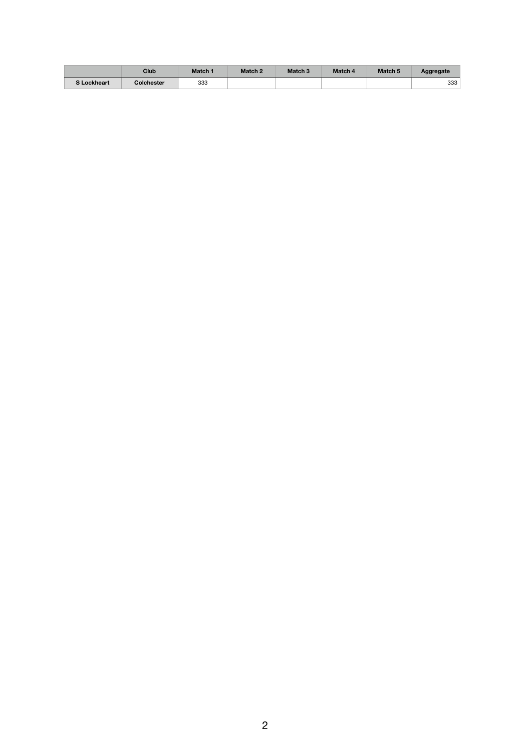|                    | Club              | Match 1 | <b>Match 2</b> | <b>Match 3</b> | <b>Match 4</b> | <b>Match 5</b> | Aggregate |
|--------------------|-------------------|---------|----------------|----------------|----------------|----------------|-----------|
| <b>S</b> Lockheart | <b>Colchester</b> | 333     |                |                |                |                | 333       |